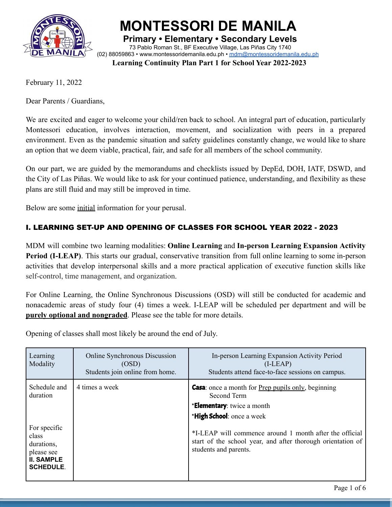

**MONTESSORI DE MANILA**

**Primary • Elementary • Secondary Levels** 73 Pablo Roman St., BF Executive Village, Las Piñas City 1740 (02) 88059863 • [www.montessoridemanila.edu.ph](http://www.montessoridemanila.edu.ph) • [mdm@montessoridemanila.edu.ph](mailto:mdm@montessoridemanila.edu.ph)

**Learning Continuity Plan Part 1 for School Year 2022-2023**

February 11, 2022

Dear Parents / Guardians,

We are excited and eager to welcome your child/ren back to school. An integral part of education, particularly Montessori education, involves interaction, movement, and socialization with peers in a prepared environment. Even as the pandemic situation and safety guidelines constantly change, we would like to share an option that we deem viable, practical, fair, and safe for all members of the school community.

On our part, we are guided by the memorandums and checklists issued by DepEd, DOH, IATF, DSWD, and the City of Las Piñas. We would like to ask for your continued patience, understanding, and flexibility as these plans are still fluid and may still be improved in time.

Below are some initial information for your perusal.

# I. LEARNING SET-UP AND OPENING OF CLASSES FOR SCHOOL YEAR 2022 - 2023

MDM will combine two learning modalities: **Online Learning** and **In-person Learning Expansion Activity Period (I-LEAP)**. This starts our gradual, conservative transition from full online learning to some in-person activities that develop interpersonal skills and a more practical application of executive function skills like self-control, time management, and organization.

For Online Learning, the Online Synchronous Discussions (OSD) will still be conducted for academic and nonacademic areas of study four (4) times a week. I-LEAP will be scheduled per department and will be **purely optional and nongraded**. Please see the table for more details.

Opening of classes shall most likely be around the end of July.

| Learning<br>Modality                                                                                                   | Online Synchronous Discussion<br>(OSD)<br>Students join online from home. | In-person Learning Expansion Activity Period<br>$(I-LEAP)$<br>Students attend face-to-face sessions on campus.                                                                                                                                                                                         |
|------------------------------------------------------------------------------------------------------------------------|---------------------------------------------------------------------------|--------------------------------------------------------------------------------------------------------------------------------------------------------------------------------------------------------------------------------------------------------------------------------------------------------|
| Schedule and<br>duration<br>For specific<br>class<br>durations,<br>please see<br><b>II. SAMPLE</b><br><b>SCHEDULE.</b> | 4 times a week                                                            | <b>Casa</b> : once a month for <u>Prep pupils only</u> , beginning<br>Second Term<br><b>*Elementary:</b> twice a month<br>*High School: once a week<br>*I-LEAP will commence around 1 month after the official<br>start of the school year, and after thorough orientation of<br>students and parents. |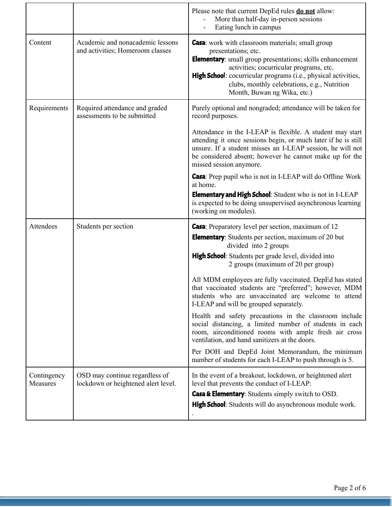|                         |                                                                       | Please note that current DepEd rules <b>do not</b> allow:<br>More than half-day in-person sessions<br>Eating lunch in campus                                                                                                                                                                                                                            |
|-------------------------|-----------------------------------------------------------------------|---------------------------------------------------------------------------------------------------------------------------------------------------------------------------------------------------------------------------------------------------------------------------------------------------------------------------------------------------------|
| Content                 | Academic and nonacademic lessons<br>and activities; Homeroom classes  | <b>Casa</b> : work with classroom materials; small group<br>presentations; etc.<br><b>Elementary:</b> small group presentations; skills enhancement<br>activities; cocurricular programs, etc.<br><b>High School</b> : cocurricular programs (i.e., physical activities,<br>clubs, monthly celebrations, e.g., Nutrition<br>Month, Buwan ng Wika, etc.) |
| Requirements            | Required attendance and graded<br>assessments to be submitted         | Purely optional and nongraded; attendance will be taken for<br>record purposes.                                                                                                                                                                                                                                                                         |
|                         |                                                                       | Attendance in the I-LEAP is flexible. A student may start<br>attending it once sessions begin, or much later if he is still<br>unsure. If a student misses an I-LEAP session, he will not<br>be considered absent; however he cannot make up for the<br>missed session anymore.                                                                         |
|                         |                                                                       | <b>Casa</b> : Prep pupil who is not in I-LEAP will do Offline Work<br>at home.<br><b>Elementary and High School:</b> Student who is not in I-LEAP<br>is expected to be doing unsupervised asynchronous learning<br>(working on modules).                                                                                                                |
| Attendees               | Students per section                                                  | <b>Casa</b> : Preparatory level per section, maximum of 12<br><b>Elementary</b> : Students per section, maximum of 20 but<br>divided into 2 groups                                                                                                                                                                                                      |
|                         |                                                                       | High School: Students per grade level, divided into<br>2 groups (maximum of 20 per group)                                                                                                                                                                                                                                                               |
|                         |                                                                       | All MDM employees are fully vaccinated. DepEd has stated<br>that vaccinated students are "preferred"; however, MDM<br>students who are unvaccinated are welcome to attend<br>I-LEAP and will be grouped separately.                                                                                                                                     |
|                         |                                                                       | Health and safety precautions in the classroom include<br>social distancing, a limited number of students in each<br>room, airconditioned rooms with ample fresh air cross<br>ventilation, and hand sanitizers at the doors.                                                                                                                            |
|                         |                                                                       | Per DOH and DepEd Joint Memorandum, the minimum<br>number of students for each I-LEAP to push through is 5.                                                                                                                                                                                                                                             |
| Contingency<br>Measures | OSD may continue regardless of<br>lockdown or heightened alert level. | In the event of a breakout, lockdown, or heightened alert<br>level that prevents the conduct of I-LEAP:<br>Casa & Elementary: Students simply switch to OSD.<br><b>High School</b> : Students will do asynchronous module work.                                                                                                                         |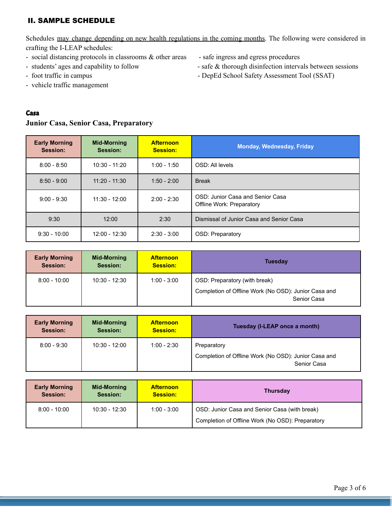# II. SAMPLE SCHEDULE

Schedules may change depending on new health regulations in the coming months. The following were considered in crafting the I-LEAP schedules:

- social distancing protocols in classrooms  $\&$  other areas safe ingress and egress procedures
- 
- 
- vehicle traffic management
- 
- students' ages and capability to follow safe & thorough disinfection intervals between sessions
- foot traffic in campus DepEd School Safety Assessment Tool (SSAT)

## Casa

## **Junior Casa, Senior Casa, Preparatory**

| <b>Early Morning</b><br>Session: | <b>Mid-Morning</b><br>Session: | <b>Afternoon</b><br><b>Session:</b> | <b>Monday, Wednesday, Friday</b>                                     |  |
|----------------------------------|--------------------------------|-------------------------------------|----------------------------------------------------------------------|--|
| $8:00 - 8:50$                    | $10:30 - 11:20$                | $1:00 - 1:50$                       | OSD: All levels                                                      |  |
| $8:50 - 9:00$                    | $11:20 - 11:30$                | $1:50 - 2:00$                       | <b>Break</b>                                                         |  |
| $9:00 - 9:30$                    | $11:30 - 12:00$                | $2:00 - 2:30$                       | OSD: Junior Casa and Senior Casa<br><b>Offline Work: Preparatory</b> |  |
| 9:30                             | 12:00                          | 2:30                                | Dismissal of Junior Casa and Senior Casa                             |  |
| $9:30 - 10:00$                   | 12:00 - 12:30                  | $2:30 - 3:00$                       | OSD: Preparatory                                                     |  |

| <b>Early Morning</b><br><b>Session:</b> | Mid-Morning<br>Session: | <b>Afternoon</b><br><b>Session:</b> | <b>Tuesday</b>                                                      |  |
|-----------------------------------------|-------------------------|-------------------------------------|---------------------------------------------------------------------|--|
| $8:00 - 10:00$                          | 10:30 - 12:30           | $1:00 - 3:00$                       | OSD: Preparatory (with break)                                       |  |
|                                         |                         |                                     | Completion of Offline Work (No OSD): Junior Casa and<br>Senior Casa |  |

| <b>Early Morning</b> | Mid-Morning     | <b>Afternoon</b> | Tuesday (I-LEAP once a month)                                                      |
|----------------------|-----------------|------------------|------------------------------------------------------------------------------------|
| Session:             | Session:        | <b>Session:</b>  |                                                                                    |
| $8:00 - 9:30$        | $10:30 - 12:00$ | $1:00 - 2:30$    | Preparatory<br>Completion of Offline Work (No OSD): Junior Casa and<br>Senior Casa |

| <b>Early Morning</b> | Mid-Morning     | <b>Afternoon</b> | <b>Thursday</b>                                                                                   |
|----------------------|-----------------|------------------|---------------------------------------------------------------------------------------------------|
| Session:             | Session:        | <b>Session:</b>  |                                                                                                   |
| $8:00 - 10:00$       | $10:30 - 12:30$ | $1:00 - 3:00$    | OSD: Junior Casa and Senior Casa (with break)<br>Completion of Offline Work (No OSD): Preparatory |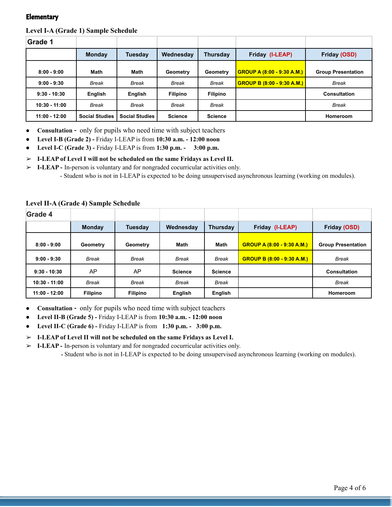### **Elementary**

#### **Level I-A (Grade 1) Sample Schedule**

| Grade 1         |                       |                       |                 |                 |                                   |                           |
|-----------------|-----------------------|-----------------------|-----------------|-----------------|-----------------------------------|---------------------------|
|                 | <b>Monday</b>         | <b>Tuesday</b>        | Wednesday       | Thursday        | Friday (I-LEAP)                   | Friday (OSD)              |
| $8:00 - 9:00$   | Math                  | Math                  | Geometry        | Geometry        | <b>GROUP A (8:00 - 9:30 A.M.)</b> | <b>Group Presentation</b> |
| $9:00 - 9:30$   | <b>Break</b>          | Break                 | <b>Break</b>    | Break           | <b>GROUP B (8:00 - 9:30 A.M.)</b> | <b>Break</b>              |
| $9:30 - 10:30$  | English               | English               | <b>Filipino</b> | <b>Filipino</b> |                                   | <b>Consultation</b>       |
| $10:30 - 11:00$ | Break                 | Break                 | <b>Break</b>    | Break           |                                   | <b>Break</b>              |
| 11:00 - 12:00   | <b>Social Studies</b> | <b>Social Studies</b> | <b>Science</b>  | <b>Science</b>  |                                   | Homeroom                  |

● **Consultation -** only for pupils who need time with subject teachers

**● Level I-B (Grade 2) -** Friday I-LEAP is from **10:30 a.m. - 12:00 noon**

**● Level I-C (Grade 3) -** Friday I-LEAP is from **1:30 p.m. - 3:00 p.m.**

➢ **I-LEAP of Level I will not be scheduled on the same Fridays as Level II.**

➢ **I-LEAP -** In-person is voluntary and for nongraded cocurricular activities only.

- Student who is not in I-LEAP is expected to be doing unsupervised asynchronous learning (working on modules).

#### **Level II-A (Grade 4) Sample Schedule**

| <b>Grade 4</b>  |                 |                 |                |                 |                                   |                           |
|-----------------|-----------------|-----------------|----------------|-----------------|-----------------------------------|---------------------------|
|                 | <b>Monday</b>   | <b>Tuesday</b>  | Wednesday      | <b>Thursday</b> | Friday (I-LEAP)                   | Friday (OSD)              |
| $8:00 - 9:00$   | Geometry        | Geometry        | Math           | Math            | <b>GROUP A (8:00 - 9:30 A.M.)</b> | <b>Group Presentation</b> |
| $9:00 - 9:30$   | <b>Break</b>    | <b>Break</b>    | Break          | <b>Break</b>    | <b>GROUP B (8:00 - 9:30 A.M.)</b> | <b>Break</b>              |
| $9:30 - 10:30$  | AP              | AP              | <b>Science</b> | <b>Science</b>  |                                   | <b>Consultation</b>       |
| 10:30 - 11:00   | <b>Break</b>    | <b>Break</b>    | <b>Break</b>   | <b>Break</b>    |                                   | <b>Break</b>              |
| $11:00 - 12:00$ | <b>Filipino</b> | <b>Filipino</b> | English        | English         |                                   | Homeroom                  |

● **Consultation -** only for pupils who need time with subject teachers

**● Level II-B (Grade 5) -** Friday I-LEAP is from **10:30 a.m. - 12:00 noon**

**● Level II-C (Grade 6) -** Friday I-LEAP is from **1:30 p.m. - 3:00 p.m.**

➢ **I-LEAP of Level II will not be scheduled on the same Fridays as Level I.**

➢ **I-LEAP -** In-person is voluntary and for nongraded cocurricular activities only.

**-** Student who is not in I-LEAP is expected to be doing unsupervised asynchronous learning (working on modules).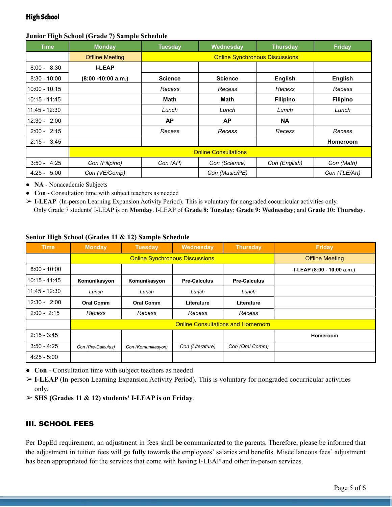## High School

## **Junior High School (Grade 7) Sample Schedule**

| $\bullet$<br>Time | <b>Monday</b>          | <b>Tuesday</b>              | Wednesday                             | <b>Thursday</b> | <b>Friday</b>   |  |  |  |
|-------------------|------------------------|-----------------------------|---------------------------------------|-----------------|-----------------|--|--|--|
|                   | <b>Offline Meeting</b> |                             | <b>Online Synchronous Discussions</b> |                 |                 |  |  |  |
| $8:00 - 8:30$     | <b>I-LEAP</b>          |                             |                                       |                 |                 |  |  |  |
| $8:30 - 10:00$    | $(8:00 - 10:00 a.m.)$  | <b>Science</b>              | <b>Science</b>                        | <b>English</b>  | English         |  |  |  |
| $10:00 - 10:15$   |                        | Recess                      | Recess                                | Recess          | Recess          |  |  |  |
| 10:15 - 11:45     |                        | Math                        | Math                                  | <b>Filipino</b> | <b>Filipino</b> |  |  |  |
| $11:45 - 12:30$   |                        | Lunch                       | Lunch                                 | Lunch           | Lunch           |  |  |  |
| $12:30 - 2:00$    |                        | <b>AP</b>                   | <b>AP</b>                             | <b>NA</b>       |                 |  |  |  |
| $2:00 - 2:15$     |                        | Recess                      | Recess                                | Recess          | Recess          |  |  |  |
| $2:15 - 3:45$     |                        |                             |                                       |                 | Homeroom        |  |  |  |
|                   |                        | <b>Online Consultations</b> |                                       |                 |                 |  |  |  |
| $3:50 - 4:25$     | Con (Filipino)         | Con (AP)                    | Con (Science)                         | Con (English)   | Con (Math)      |  |  |  |
| 5:00<br>$4:25 -$  | Con (VE/Comp)          |                             | Con (Music/PE)                        |                 | Con (TLE/Art)   |  |  |  |

● **NA** - Nonacademic Subjects

● **Con** - Consultation time with subject teachers as needed

➢ **I-LEAP** (In-person Learning Expansion Activity Period). This is voluntary for nongraded cocurricular activities only. Only Grade 7 students' I-LEAP is on **Monday**. I-LEAP of **Grade 8: Tuesday**; **Grade 9: Wednesday**; and **Grade 10: Thursday**.

### **Senior High School (Grades 11 & 12) Sample Schedule**

| <b>Time</b>     | <b>Monday</b>      | <b>Tuesday</b>                        | Wednesday                                | <b>Thursday</b>     | Friday                     |
|-----------------|--------------------|---------------------------------------|------------------------------------------|---------------------|----------------------------|
|                 |                    | <b>Online Synchronous Discussions</b> | <b>Offline Meeting</b>                   |                     |                            |
| $8:00 - 10:00$  |                    |                                       |                                          |                     | I-LEAP (8:00 - 10:00 a.m.) |
| $10:15 - 11:45$ | Komunikasyon       | Komunikasyon                          | <b>Pre-Calculus</b>                      | <b>Pre-Calculus</b> |                            |
| $11:45 - 12:30$ | Lunch              | Lunch                                 | Lunch                                    | Lunch               |                            |
| $12:30 - 2:00$  | <b>Oral Comm</b>   | <b>Oral Comm</b>                      | Literature                               | Literature          |                            |
| $2:00 - 2:15$   | Recess             | Recess                                | Recess                                   | Recess              |                            |
|                 |                    |                                       | <b>Online Consultations and Homeroom</b> |                     |                            |
| $2:15 - 3:45$   |                    |                                       |                                          |                     | Homeroom                   |
| $3:50 - 4:25$   | Con (Pre-Calculus) | Con (Komunikasyon)                    | Con (Literature)                         | Con (Oral Comm)     |                            |
| $4:25 - 5:00$   |                    |                                       |                                          |                     |                            |

● **Con** - Consultation time with subject teachers as needed

➢ **I-LEAP** (In-person Learning Expansion Activity Period). This is voluntary for nongraded cocurricular activities only.

➢ **SHS (Grades 11 & 12) students' I-LEAP is on Friday**.

# III. SCHOOL FEES

Per DepEd requirement, an adjustment in fees shall be communicated to the parents. Therefore, please be informed that the adjustment in tuition fees will go **fully** towards the employees' salaries and benefits. Miscellaneous fees' adjustment has been appropriated for the services that come with having I-LEAP and other in-person services.